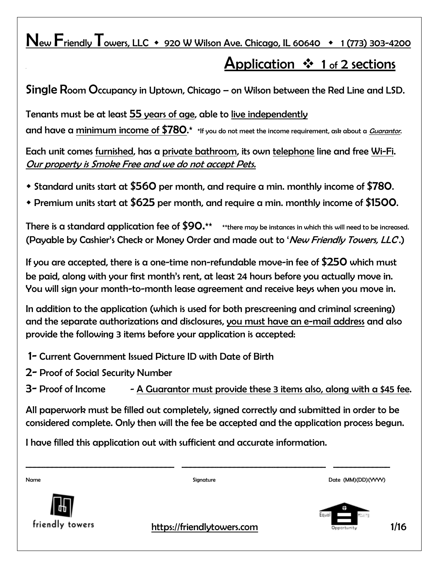## New Friendly Towers, LLC  $\arrow$  920 W Wilson Ave. Chicago, IL 60640  $\rightarrow$  1 (773) 303-4200

# Application  $\cdot \cdot$  1 of 2 sections

Single Room Occupancy in Uptown, Chicago – on Wilson between the Red Line and LSD.

Tenants must be at least 55 years of age, able to live independently

and have a minimum income of  $$780.*$  \*If you do not meet the income requirement, ask about a *Guarantor*.

Each unit comes furnished, has a private bathroom, its own telephone line and free Wi-Fi. Our property is Smoke Free and we do not accept Pets.

- Standard units start at \$560 per month, and require a min. monthly income of \$780.
- Premium units start at \$625 per month, and require a min. monthly income of \$1500.

There is a standard application fee of  $$90.**$  \*\* there may be instances in which this will need to be increased. (Payable by Cashier's Check or Money Order and made out to 'New Friendly Towers, LLC.)

If you are accepted, there is a one-time non-refundable move-in fee of \$250 which must be paid, along with your first month's rent, at least 24 hours before you actually move in. You will sign your month-to-month lease agreement and receive keys when you move in.

In addition to the application (which is used for both prescreening and criminal screening) and the separate authorizations and disclosures, you must have an e-mail address and also provide the following 3 items before your application is accepted:

- 1- Current Government Issued Picture ID with Date of Birth
- 2- Proof of Social Security Number

 $3-$  Proof of Income  $- A$  Guarantor must provide these 3 items also, along with a \$45 fee.

All paperwork must be filled out completely, signed correctly and submitted in order to be considered complete. Only then will the fee be accepted and the application process begun.

I have filled this application out with sufficient and accurate information.

| Name            | Signature                                                                                                                                                                                                                                                                                        | Date (MM)(DD)(YYYY)                      |
|-----------------|--------------------------------------------------------------------------------------------------------------------------------------------------------------------------------------------------------------------------------------------------------------------------------------------------|------------------------------------------|
| friendly towers | $\mathbf{I}$ and $\mathbf{I}$ and $\mathbf{I}$ and $\mathbf{I}$ and $\mathbf{I}$ and $\mathbf{I}$ and $\mathbf{I}$ and $\mathbf{I}$ and $\mathbf{I}$ and $\mathbf{I}$ and $\mathbf{I}$ and $\mathbf{I}$ and $\mathbf{I}$ and $\mathbf{I}$ and $\mathbf{I}$ and $\mathbf{I}$ and $\mathbf{I}$ and | ÷<br>Equal<br>Housing.<br>$\blacksquare$ |

**Friendly towers** https://friendlytowers.com **Telecom 1/16**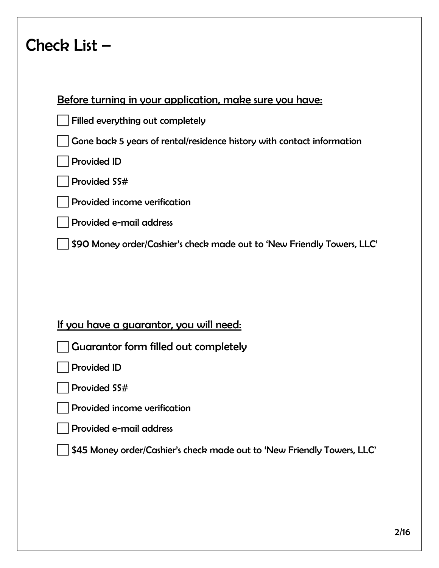# Check List –

## Before turning in your application, make sure you have:

|  |  | Filled everything out completely |  |  |
|--|--|----------------------------------|--|--|
|--|--|----------------------------------|--|--|

Gone back 5 years of rental/residence history with contact information

Provided ID

Provided SS#

Provided income verification

Provided e-mail address

\$90 Money order/Cashier's check made out to 'New Friendly Towers, LLC'

## If you have a guarantor, you will need:

Guarantor form filled out completely

Provided ID

Provided SS#

Provided income verification

Provided e-mail address

\$45 Money order/Cashier's check made out to 'New Friendly Towers, LLC'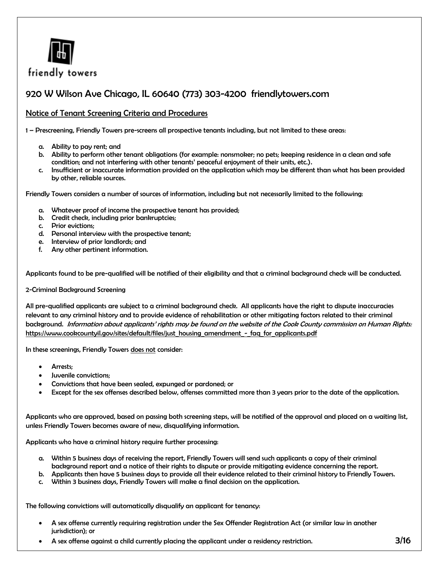

friendly towers

## 920 W Wilson Ave Chicago, IL 60640 (773) 303-4200 friendlytowers.com

#### Notice of Tenant Screening Criteria and Procedures

1 – Prescreening, Friendly Towers pre-screens all prospective tenants including, but not limited to these areas:

- a. Ability to pay rent; and
- b. Ability to perform other tenant obligations (for example: nonsmoker; no pets; keeping residence in a clean and safe condition; and not interfering with other tenants' peaceful enjoyment of their units, etc.).
- c. Insufficient or inaccurate information provided on the application which may be different than what has been provided by other, reliable sources.

Friendly Towers considers a number of sources of information, including but not necessarily limited to the following:

- a. Whatever proof of income the prospective tenant has provided;
- b. Credit check, including prior bankruptcies;
- c. Prior evictions;
- d. Personal interview with the prospective tenant;
- e. Interview of prior landlords; and
- f. Any other pertinent information.

Applicants found to be pre-qualified will be notified of their eligibility and that a criminal background check will be conducted.

#### 2-Criminal Background Screening

All pre-qualified applicants are subject to a criminal background check. All applicants have the right to dispute inaccuracies relevant to any criminal history and to provide evidence of rehabilitation or other mitigating factors related to their criminal background. Information about applicants' rights may be found on the website of the Cook County commission on Human Rights: [https://www.cookcountyil.gov/sites/default/files/just\\_housing\\_amendment\\_-\\_faq\\_for\\_applicants.pdf](https://www.cookcountyil.gov/sites/default/files/just_housing_amendment_-_faq_for_applicants.pdf)

In these screenings, Friendly Towers does not consider:

- Arrests;
- Juvenile convictions;
- Convictions that have been sealed, expunged or pardoned; or
- Except for the sex offenses described below, offenses committed more than 3 years prior to the date of the application.

Applicants who are approved, based on passing both screening steps, will be notified of the approval and placed on a waiting list, unless Friendly Towers becomes aware of new, disqualifying information.

Applicants who have a criminal history require further processing:

- a. Within 5 business days of receiving the report, Friendly Towers will send such applicants a copy of their criminal background report and a notice of their rights to dispute or provide mitigating evidence concerning the report.
- b. Applicants then have 5 business days to provide all their evidence related to their criminal history to Friendly Towers.
- c. Within 3 business days, Friendly Towers will make a final decision on the application.

The following convictions will automatically disqualify an applicant for tenancy:

- A sex offense currently requiring registration under the Sex Offender Registration Act (or similar law in another jurisdiction); or
- A sex offense against a child currently placing the applicant under a residency restriction.  $\frac{3}{16}$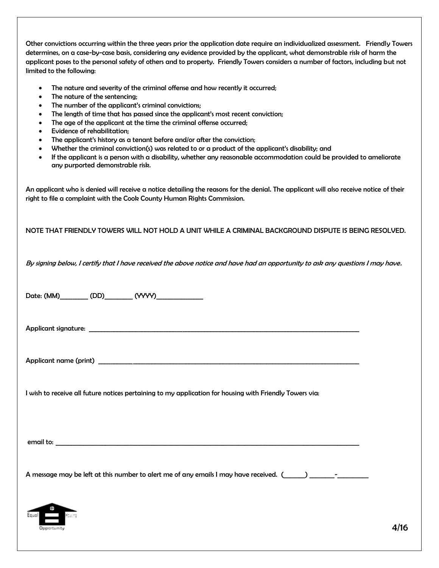Other convictions occurring within the three years prior the application date require an individualized assessment. Friendly Towers determines, on a case-by-case basis, considering any evidence provided by the applicant, what demonstrable risk of harm the applicant poses to the personal safety of others and to property. Friendly Towers considers a number of factors, including but not limited to the following:

- The nature and severity of the criminal offense and how recently it occurred;
- The nature of the sentencing;
- The number of the applicant's criminal convictions;
- The length of time that has passed since the applicant's most recent conviction;
- The age of the applicant at the time the criminal offense occurred;
- Evidence of rehabilitation;
- The applicant's history as a tenant before and/or after the conviction;
- Whether the criminal conviction(s) was related to or a product of the applicant's disability; and
- If the applicant is a person with a disability, whether any reasonable accommodation could be provided to ameliorate any purported demonstrable risk.

An applicant who is denied will receive a notice detailing the reasons for the denial. The applicant will also receive notice of their right to file a complaint with the Cook County Human Rights Commission.

NOTE THAT FRIENDLY TOWERS WILL NOT HOLD A UNIT WHILE A CRIMINAL BACKGROUND DISPUTE IS BEING RESOLVED.

By signing below, I certify that I have received the above notice and have had an opportunity to ask any questions I may have.

| I wish to receive all future notices pertaining to my application for housing with Friendly Towers via:           |      |
|-------------------------------------------------------------------------------------------------------------------|------|
|                                                                                                                   |      |
|                                                                                                                   |      |
| A message may be left at this number to alert me of any emails I may have received. (Completed may have received. |      |
| Equal<br>Opportunity                                                                                              | 4/16 |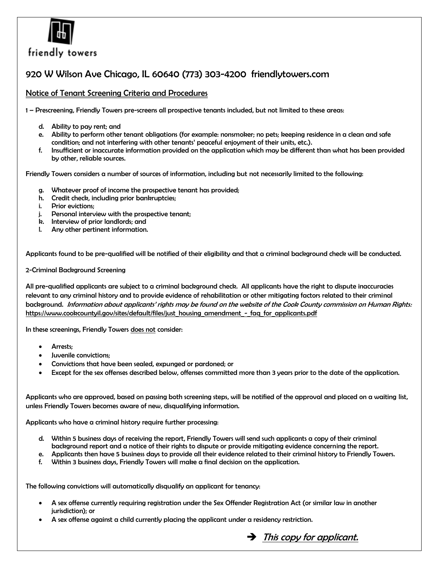

## friendly towers

## 920 W Wilson Ave Chicago, IL 60640 (773) 303-4200 friendlytowers.com

#### Notice of Tenant Screening Criteria and Procedures

1 – Prescreening, Friendly Towers pre-screens all prospective tenants included, but not limited to these areas:

- d. Ability to pay rent; and
- e. Ability to perform other tenant obligations (for example: nonsmoker; no pets; keeping residence in a clean and safe condition; and not interfering with other tenants' peaceful enjoyment of their units, etc.).
- f. Insufficient or inaccurate information provided on the application which may be different than what has been provided by other, reliable sources.

Friendly Towers considers a number of sources of information, including but not necessarily limited to the following:

- g. Whatever proof of income the prospective tenant has provided;
- h. Credit check, including prior bankruptcies;
- i. Prior evictions;
- j. Personal interview with the prospective tenant;
- k. Interview of prior landlords; and
- l. Any other pertinent information.

Applicants found to be pre-qualified will be notified of their eligibility and that a criminal background check will be conducted.

2-Criminal Background Screening

All pre-qualified applicants are subject to a criminal background check. All applicants have the right to dispute inaccuracies relevant to any criminal history and to provide evidence of rehabilitation or other mitigating factors related to their criminal background. Information about applicants' rights may be found on the website of the Cook County commission on Human Rights: [https://www.cookcountyil.gov/sites/default/files/just\\_housing\\_amendment\\_-\\_faq\\_for\\_applicants.pdf](https://www.cookcountyil.gov/sites/default/files/just_housing_amendment_-_faq_for_applicants.pdf)

In these screenings, Friendly Towers does not consider:

- Arrests;
- Juvenile convictions;
- Convictions that have been sealed, expunged or pardoned; or
- Except for the sex offenses described below, offenses committed more than 3 years prior to the date of the application.

Applicants who are approved, based on passing both screening steps, will be notified of the approval and placed on a waiting list, unless Friendly Towers becomes aware of new, disqualifying information.

Applicants who have a criminal history require further processing:

- d. Within 5 business days of receiving the report, Friendly Towers will send such applicants a copy of their criminal background report and a notice of their rights to dispute or provide mitigating evidence concerning the report.
- e. Applicants then have 5 business days to provide all their evidence related to their criminal history to Friendly Towers.
- f. Within 3 business days, Friendly Towers will make a final decision on the application.

The following convictions will automatically disqualify an applicant for tenancy:

- A sex offense currently requiring registration under the Sex Offender Registration Act (or similar law in another jurisdiction); or
- A sex offense against a child currently placing the applicant under a residency restriction.

 $\rightarrow$  This copy for applicant.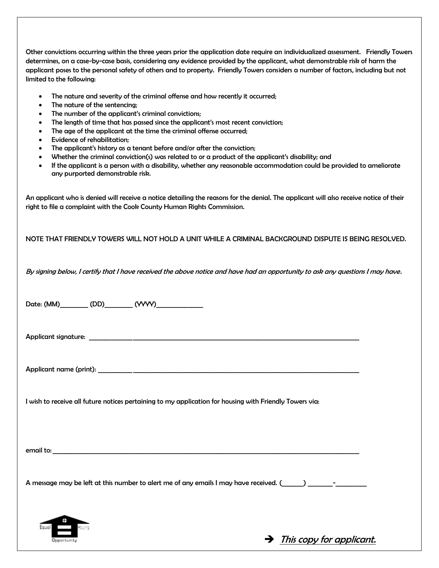Other convictions occurring within the three years prior the application date require an individualized assessment. Friendly Towers determines, on a case-by-case basis, considering any evidence provided by the applicant, what demonstrable risk of harm the applicant poses to the personal safety of others and to property. Friendly Towers considers a number of factors, including but not limited to the following:

- The nature and severity of the criminal offense and how recently it occurred;
- The nature of the sentencing;
- The number of the applicant's criminal convictions;
- The length of time that has passed since the applicant's most recent conviction;
- The age of the applicant at the time the criminal offense occurred;
- Evidence of rehabilitation;
- The applicant's history as a tenant before and/or after the conviction;
- Whether the criminal conviction(s) was related to or a product of the applicant's disability; and
- If the applicant is a person with a disability, whether any reasonable accommodation could be provided to ameliorate any purported demonstrable risk.

An applicant who is denied will receive a notice detailing the reasons for the denial. The applicant will also receive notice of their right to file a complaint with the Cook County Human Rights Commission.

NOTE THAT FRIENDLY TOWERS WILL NOT HOLD A UNIT WHILE A CRIMINAL BACKGROUND DISPUTE IS BEING RESOLVED.

By signing below, I certify that I have received the above notice and have had an opportunity to ask any questions I may have.

|                      | I wish to receive all future notices pertaining to my application for housing with Friendly Towers via:       |
|----------------------|---------------------------------------------------------------------------------------------------------------|
|                      |                                                                                                               |
|                      | A message may be left at this number to alert me of any emails I may have received. (Completed responsive the |
| Equal<br>Opportunity | $\rightarrow$ This copy for applicant.                                                                        |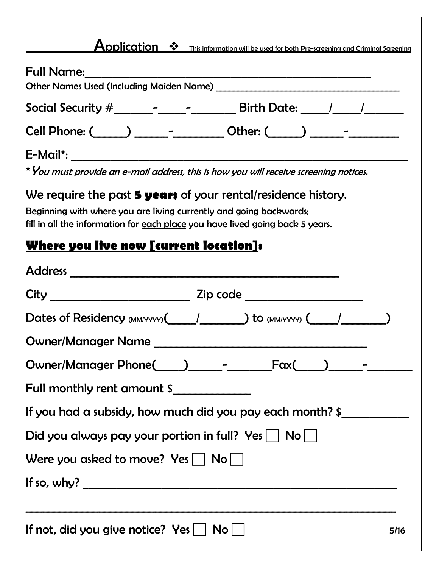| Application $\cdot \cdot$ This information will be used for both Pre-screening and Criminal Screening                                               |
|-----------------------------------------------------------------------------------------------------------------------------------------------------|
|                                                                                                                                                     |
|                                                                                                                                                     |
| Cell Phone: ( ) _______________________ Other: ( ) _____________________________                                                                    |
|                                                                                                                                                     |
| * You must provide an e-mail address, this is how you will receive screening notices.                                                               |
| <u>We require the past 5 years of your rental/residence history.</u>                                                                                |
| Beginning with where you are living currently and going backwards;<br>fill in all the information for each place you have lived going back 5 years. |
| Where you live now [current location]:                                                                                                              |
|                                                                                                                                                     |
|                                                                                                                                                     |
| Dates of Residency (MM/YYYY) (And Allegancy Comm/YYYY) (And Allegancy Comm/YYYY) (And Allegancy Comm                                                |
| Owner/Manager Name                                                                                                                                  |
|                                                                                                                                                     |
| Full monthly rent amount \$                                                                                                                         |
| If you had a subsidy, how much did you pay each month? \$________________________                                                                   |
| Did you always pay your portion in full? $Yes \mid \text{No} \mid \text{ } \mid$                                                                    |
| Were you asked to move? $Yes \mid \text{No} \mid \text{ } \mid$                                                                                     |
|                                                                                                                                                     |
| If so, why? $\overline{\phantom{a}}$                                                                                                                |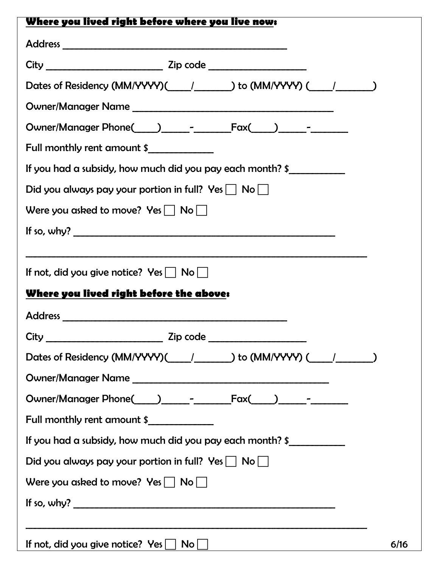| Where you lived right before where you live now:                                             |
|----------------------------------------------------------------------------------------------|
|                                                                                              |
|                                                                                              |
|                                                                                              |
|                                                                                              |
|                                                                                              |
| Full monthly rent amount \$                                                                  |
| If you had a subsidy, how much did you pay each month? \$                                    |
| Did you always pay your portion in full? Yes $\Box$ No $\Box$                                |
| Were you asked to move? $Yes \mid \text{No} \mid \text{ }$                                   |
| If so, why? $\overline{\qquad \qquad }$                                                      |
| If not, did you give notice? Yes $\Box$ No $\Box$<br>Where you lived right before the above: |
|                                                                                              |
|                                                                                              |
| Owner/Manager Name                                                                           |
|                                                                                              |
| Full monthly rent amount \$                                                                  |
| If you had a subsidy, how much did you pay each month? \$                                    |
| Did you always pay your portion in full? Yes $\Box$ No $\Box$                                |
| Were you asked to move? Yes $\Box$ No $\Box$                                                 |
|                                                                                              |
|                                                                                              |
| If not, did you give notice? $Yes \Box No \Box$<br>6/16                                      |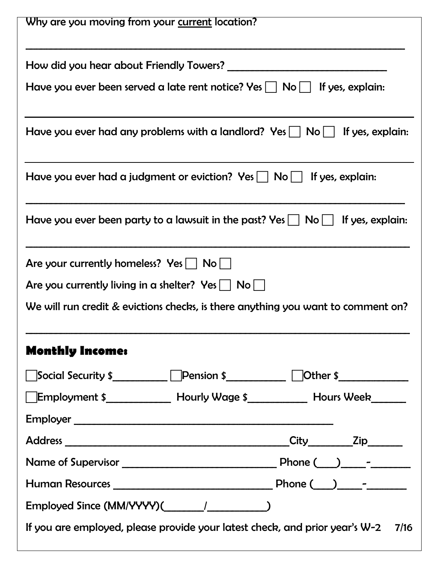| Why are you moving from your current location?                                                                 |
|----------------------------------------------------------------------------------------------------------------|
| How did you hear about Friendly Towers? ______                                                                 |
| Have you ever been served a late rent notice? Yes $ $ $ $ No $ $ $ $ If yes, explain:                          |
| Have you ever had any problems with a landlord? Yes $  \cdot  $ No $  \cdot  $ If yes, explain:                |
| Have you ever had a judgment or eviction? Yes $  \cdot  $ No $  \cdot  $ If yes, explain:                      |
| Have you ever been party to a lawsuit in the past? Yes $  \cdot  $ No $  \cdot  $ If yes, explain:             |
| Are your currently homeless? $Yes \mid \text{No} \mid \text{ }$                                                |
| Are you currently living in a shelter? $Yes \mid \text{No} \mid \text{ }$                                      |
| We will run credit & evictions checks, is there anything you want to comment on?                               |
| <b>Monthly Income:</b>                                                                                         |
| Social Security \$______________Pension \$_______________Other \$_________________                             |
| Employment \$______________ Hourly Wage \$_____________ Hours Week_______                                      |
|                                                                                                                |
|                                                                                                                |
|                                                                                                                |
|                                                                                                                |
| Employed Since (MM/YYYY)( and the same set of the set of the set of the set of the set of the set of the set o |
| If you are employed, please provide your latest check, and prior year's W-2<br>7/16                            |